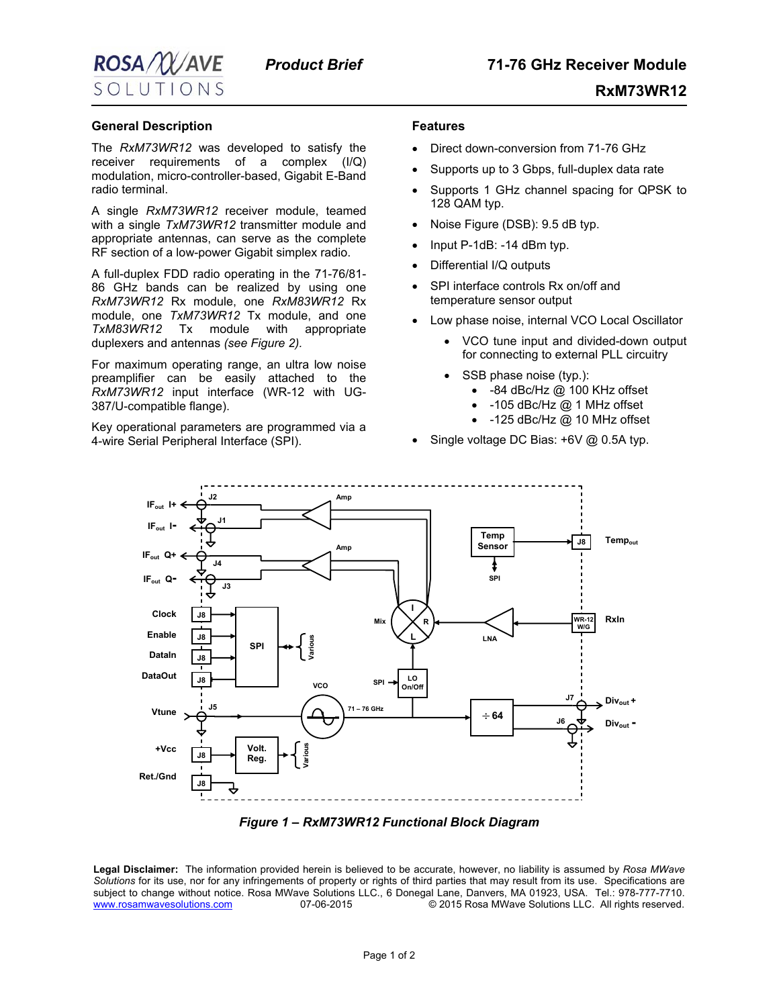

 **RxM73WR12**

## **General Description**

The *RxM73WR12* was developed to satisfy the receiver requirements of a complex (I/Q) modulation, micro-controller-based, Gigabit E-Band radio terminal.

A single *RxM73WR12* receiver module, teamed with a single *TxM73WR12* transmitter module and appropriate antennas, can serve as the complete RF section of a low-power Gigabit simplex radio.

A full-duplex FDD radio operating in the 71-76/81- 86 GHz bands can be realized by using one *RxM73WR12* Rx module, one *RxM83WR12* Rx module, one *TxM73WR12* Tx module, and one *TxM83WR12* Tx module with appropriate duplexers and antennas *(see Figure 2).* 

For maximum operating range, an ultra low noise preamplifier can be easily attached to the *RxM73WR12* input interface (WR-12 with UG-387/U-compatible flange).

Key operational parameters are programmed via a 4-wire Serial Peripheral Interface (SPI).

## **Features**

- Direct down-conversion from 71-76 GHz
- Supports up to 3 Gbps, full-duplex data rate
- Supports 1 GHz channel spacing for QPSK to 128 QAM typ.
- Noise Figure (DSB): 9.5 dB typ.
- Input P-1dB: -14 dBm typ.
- Differential I/Q outputs
- SPI interface controls Rx on/off and temperature sensor output
- Low phase noise, internal VCO Local Oscillator
	- VCO tune input and divided-down output for connecting to external PLL circuitry
	- SSB phase noise (typ.):
		- -84 dBc/Hz @ 100 KHz offset
		- -105 dBc/Hz @ 1 MHz offset
		- -125 dBc/Hz @ 10 MHz offset
- Single voltage DC Bias: +6V @ 0.5A typ.



*Figure 1 – RxM73WR12 Functional Block Diagram* 

**Legal Disclaimer:** The information provided herein is believed to be accurate, however, no liability is assumed by *Rosa MWave Solutions* for its use, nor for any infringements of property or rights of third parties that may result from its use. Specifications are subject to change without notice. Rosa MWave Solutions LLC., 6 Donegal Lane, Danvers, MA 01923, USA. Tel.: 978-777-7710. [www.rosamwavesolutions.com](http://www.rosamwavesolutions.com/) 07-06-2015 © 2015 Rosa MWave Solutions LLC. All rights reserved.